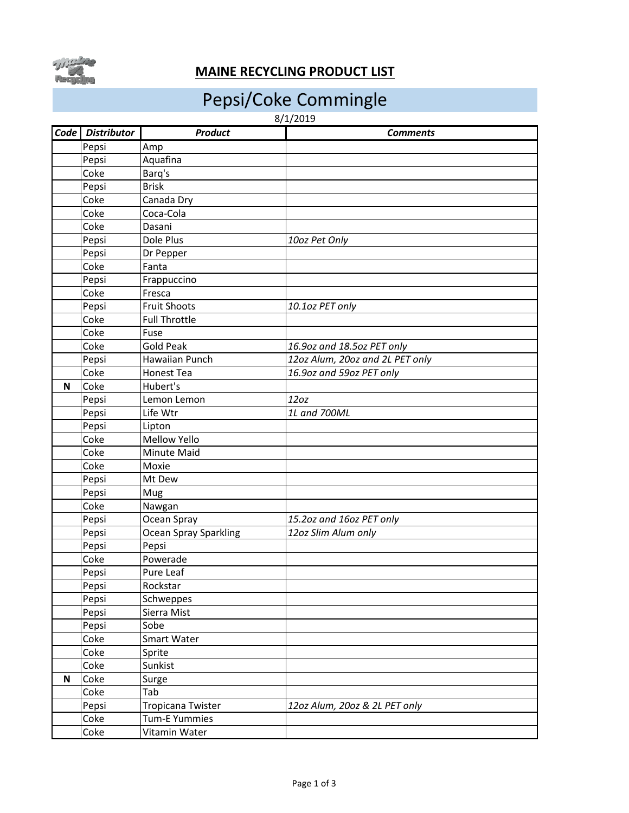

### **MAINE RECYCLING PRODUCT LIST**

## Pepsi/Coke Commingle

#### 8/1/2019

| Code | <b>Distributor</b> | <b>Product</b>               | <b>Comments</b>                 |
|------|--------------------|------------------------------|---------------------------------|
|      | Pepsi              | Amp                          |                                 |
|      | Pepsi              | Aquafina                     |                                 |
|      | Coke               | Barq's                       |                                 |
|      | Pepsi              | <b>Brisk</b>                 |                                 |
|      | Coke               | Canada Dry                   |                                 |
|      | Coke               | Coca-Cola                    |                                 |
|      | Coke               | Dasani                       |                                 |
|      | Pepsi              | Dole Plus                    | 10oz Pet Only                   |
|      | Pepsi              | Dr Pepper                    |                                 |
|      | Coke               | Fanta                        |                                 |
|      | Pepsi              | Frappuccino                  |                                 |
|      | Coke               | Fresca                       |                                 |
|      | Pepsi              | <b>Fruit Shoots</b>          | 10.1oz PET only                 |
|      | Coke               | <b>Full Throttle</b>         |                                 |
|      | Coke               | Fuse                         |                                 |
|      | Coke               | <b>Gold Peak</b>             | 16.9oz and 18.5oz PET only      |
|      | Pepsi              | Hawaiian Punch               | 12oz Alum, 20oz and 2L PET only |
|      | Coke               | Honest Tea                   | 16.9oz and 59oz PET only        |
| N    | Coke               | Hubert's                     |                                 |
|      | Pepsi              | Lemon Lemon                  | 12oz                            |
|      | Pepsi              | Life Wtr                     | 1L and 700ML                    |
|      | Pepsi              | Lipton                       |                                 |
|      | Coke               | Mellow Yello                 |                                 |
|      | Coke               | Minute Maid                  |                                 |
|      | Coke               | Moxie                        |                                 |
|      | Pepsi              | Mt Dew                       |                                 |
|      | Pepsi              | Mug                          |                                 |
|      | Coke               | Nawgan                       |                                 |
|      | Pepsi              | Ocean Spray                  | 15.2oz and 16oz PET only        |
|      | Pepsi              | <b>Ocean Spray Sparkling</b> | 12oz Slim Alum only             |
|      | Pepsi              | Pepsi                        |                                 |
|      | Coke               | Powerade                     |                                 |
|      | Pepsi              | Pure Leaf                    |                                 |
|      | Pepsi              | Rockstar                     |                                 |
|      | Pepsi              | Schweppes                    |                                 |
|      | Pepsi              | Sierra Mist                  |                                 |
|      | Pepsi              | Sobe                         |                                 |
|      | Coke               | Smart Water                  |                                 |
|      | Coke               | Sprite                       |                                 |
|      | Coke               | Sunkist                      |                                 |
| N    | Coke               | Surge                        |                                 |
|      | Coke               | Tab                          |                                 |
|      | Pepsi              | Tropicana Twister            | 12oz Alum, 20oz & 2L PET only   |
|      | Coke               | <b>Tum-E Yummies</b>         |                                 |
|      | Coke               | Vitamin Water                |                                 |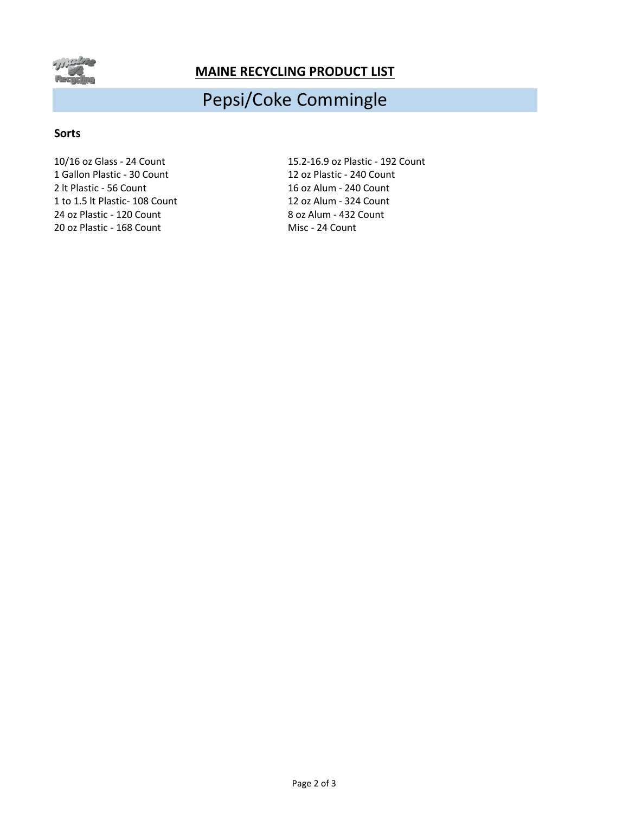

### **MAINE RECYCLING PRODUCT LIST**

# Pepsi/Coke Commingle

### **Sorts**

10/16 oz Glass ‐ 24 Count 15.2‐16.9 oz Plastic ‐ 192 Count 1 Gallon Plastic - 30 Count 12 oz Plastic - 240 Count 2 lt Plastic ‐ 56 Count 16 oz Alum ‐ 240 Count 1 to 1.5 lt Plastic‐ 108 Count 12 oz Alum ‐ 324 Count 24 oz Plastic - 120 Count 8 oz Alum - 432 Count 20 oz Plastic - 168 Count Misc - 24 Count